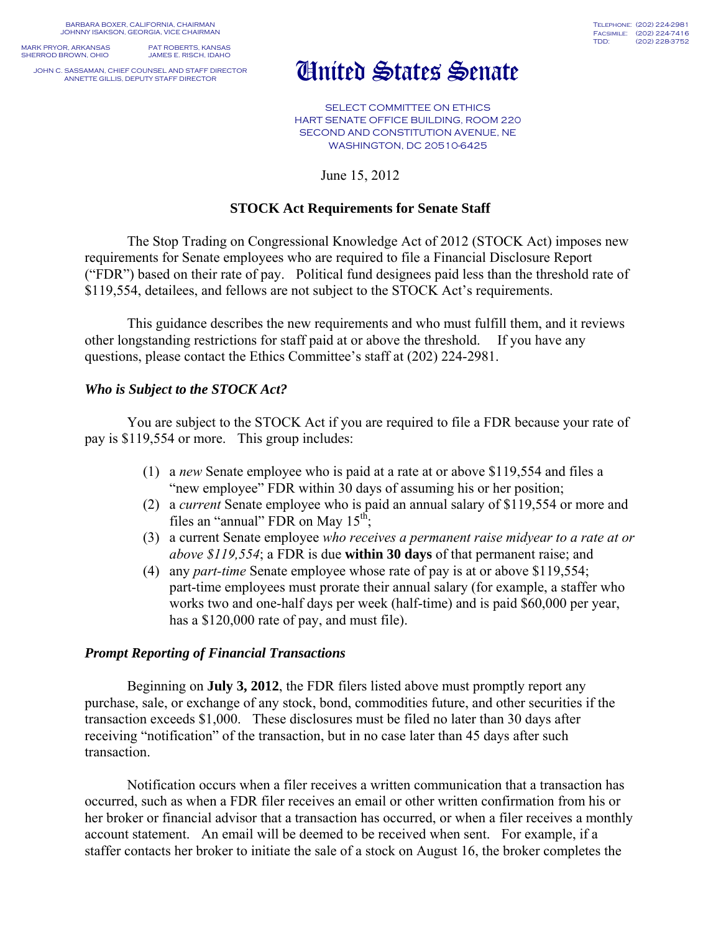BARBARA BOXER, CALIFORNIA, CHAIRMAN JOHNNY ISAKSON, GEORGIA, VICE CHAIRMAN

MARK PRYOR, ARKANSAS PAT ROBERTS, KANSAS<br>SHERROD BROWN, OHIO JAMES E. RISCH, IDAHO SHERROD BROWN, OHIO

JOHN C. SASSAMAN, CHIEF COUNSEL AND STAFF DIRECTOR

# United States Senate

SELECT COMMITTEE ON ETHICS HART SENATE OFFICE BUILDING, ROOM 220 SECOND AND CONSTITUTION AVENUE, NE WASHINGTON, DC 20510-6425

June 15, 2012

## **STOCK Act Requirements for Senate Staff**

The Stop Trading on Congressional Knowledge Act of 2012 (STOCK Act) imposes new requirements for Senate employees who are required to file a Financial Disclosure Report ("FDR") based on their rate of pay. Political fund designees paid less than the threshold rate of \$119,554, detailees, and fellows are not subject to the STOCK Act's requirements.

This guidance describes the new requirements and who must fulfill them, and it reviews other longstanding restrictions for staff paid at or above the threshold. If you have any questions, please contact the Ethics Committee's staff at (202) 224-2981.

### *Who is Subject to the STOCK Act?*

You are subject to the STOCK Act if you are required to file a FDR because your rate of pay is \$119,554 or more. This group includes:

- (1) a *new* Senate employee who is paid at a rate at or above \$119,554 and files a "new employee" FDR within 30 days of assuming his or her position;
- (2) a *current* Senate employee who is paid an annual salary of \$119,554 or more and files an "annual" FDR on May  $15<sup>th</sup>$ ;
- (3) a current Senate employee *who receives a permanent raise midyear to a rate at or above \$119,554*; a FDR is due **within 30 days** of that permanent raise; and
- (4) any *part-time* Senate employee whose rate of pay is at or above \$119,554; part-time employees must prorate their annual salary (for example, a staffer who works two and one-half days per week (half-time) and is paid \$60,000 per year, has a \$120,000 rate of pay, and must file).

#### *Prompt Reporting of Financial Transactions*

 Beginning on **July 3, 2012**, the FDR filers listed above must promptly report any purchase, sale, or exchange of any stock, bond, commodities future, and other securities if the transaction exceeds \$1,000. These disclosures must be filed no later than 30 days after receiving "notification" of the transaction, but in no case later than 45 days after such transaction.

Notification occurs when a filer receives a written communication that a transaction has occurred, such as when a FDR filer receives an email or other written confirmation from his or her broker or financial advisor that a transaction has occurred, or when a filer receives a monthly account statement. An email will be deemed to be received when sent. For example, if a staffer contacts her broker to initiate the sale of a stock on August 16, the broker completes the